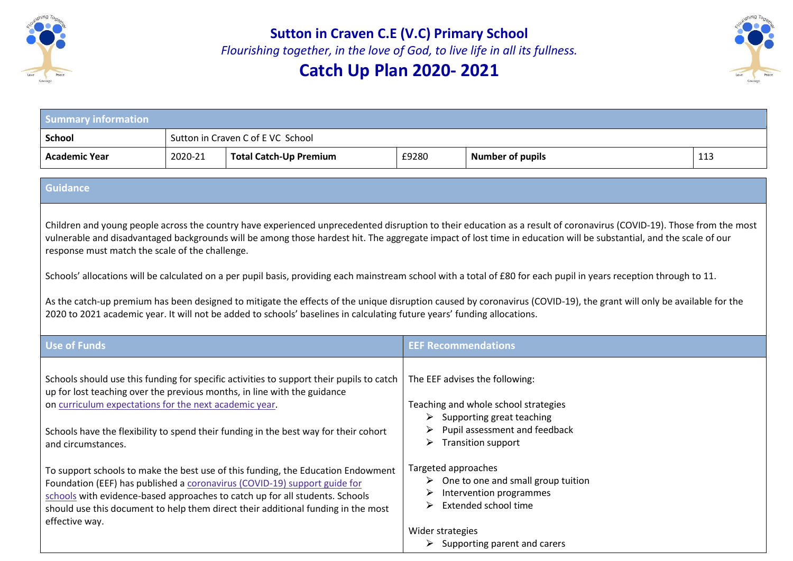

**Sutton in Craven C.E (V.C) Primary School**

*Flourishing together, in the love of God, to live life in all its fullness.* 

## **Catch Up Plan 2020- 2021**



| <b>Summary information</b> |                                   |                               |       |                         |     |
|----------------------------|-----------------------------------|-------------------------------|-------|-------------------------|-----|
| <b>School</b>              | Sutton in Craven C of E VC School |                               |       |                         |     |
| Academic Year              | 2020-21                           | <b>Total Catch-Up Premium</b> | £9280 | <b>Number of pupils</b> | 113 |

## **Guidance**

Children and young people across the country have experienced unprecedented disruption to their education as a result of coronavirus (COVID-19). Those from the most vulnerable and disadvantaged backgrounds will be among those hardest hit. The aggregate impact of lost time in education will be substantial, and the scale of our response must match the scale of the challenge.

Schools' allocations will be calculated on a per pupil basis, providing each mainstream school with a total of £80 for each pupil in years reception through to 11.

As the catch-up premium has been designed to mitigate the effects of the unique disruption caused by coronavirus (COVID-19), the grant will only be available for the 2020 to 2021 academic year. It will not be added to schools' baselines in calculating future years' funding allocations.

| Use of Funds                                                                                                                                                                                                                                                                                                                                         | <b>EEF Recommendations</b>                                                                                                                                                                       |
|------------------------------------------------------------------------------------------------------------------------------------------------------------------------------------------------------------------------------------------------------------------------------------------------------------------------------------------------------|--------------------------------------------------------------------------------------------------------------------------------------------------------------------------------------------------|
| Schools should use this funding for specific activities to support their pupils to catch<br>up for lost teaching over the previous months, in line with the guidance<br>on curriculum expectations for the next academic year.<br>Schools have the flexibility to spend their funding in the best way for their cohort<br>and circumstances.         | The EEF advises the following:<br>Teaching and whole school strategies<br>$\triangleright$ Supporting great teaching<br>Pupil assessment and feedback<br>➤<br><b>Transition support</b><br>➤     |
| To support schools to make the best use of this funding, the Education Endowment<br>Foundation (EEF) has published a coronavirus (COVID-19) support guide for<br>schools with evidence-based approaches to catch up for all students. Schools<br>should use this document to help them direct their additional funding in the most<br>effective way. | Targeted approaches<br>One to one and small group tuition<br>➤<br>Intervention programmes<br>⋗<br>Extended school time<br>➤<br>Wider strategies<br>$\triangleright$ Supporting parent and carers |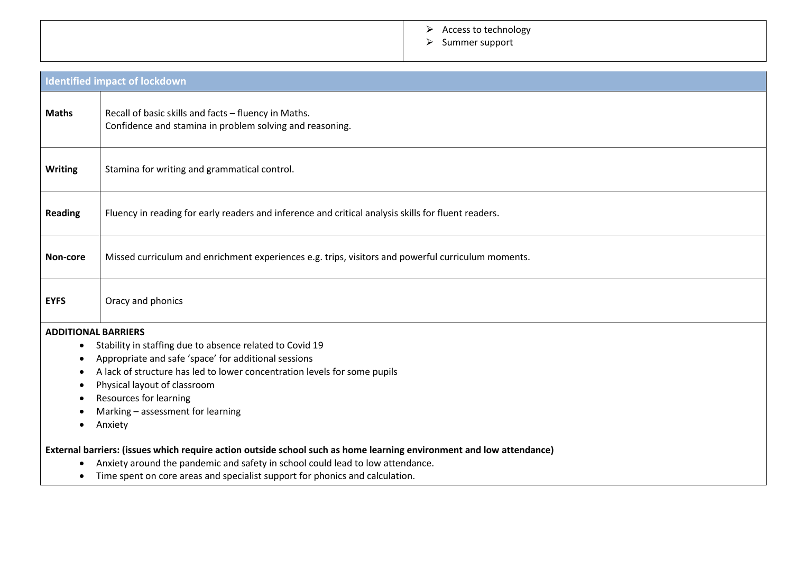## > Access to technology

⮚ Summer support

| <b>Identified impact of lockdown</b> |                                                                                                                                                                                                                                                                                                                                                                                                                                                                                                                   |  |  |
|--------------------------------------|-------------------------------------------------------------------------------------------------------------------------------------------------------------------------------------------------------------------------------------------------------------------------------------------------------------------------------------------------------------------------------------------------------------------------------------------------------------------------------------------------------------------|--|--|
| <b>Maths</b>                         | Recall of basic skills and facts - fluency in Maths.<br>Confidence and stamina in problem solving and reasoning.                                                                                                                                                                                                                                                                                                                                                                                                  |  |  |
| <b>Writing</b>                       | Stamina for writing and grammatical control.                                                                                                                                                                                                                                                                                                                                                                                                                                                                      |  |  |
| <b>Reading</b>                       | Fluency in reading for early readers and inference and critical analysis skills for fluent readers.                                                                                                                                                                                                                                                                                                                                                                                                               |  |  |
| Non-core                             | Missed curriculum and enrichment experiences e.g. trips, visitors and powerful curriculum moments.                                                                                                                                                                                                                                                                                                                                                                                                                |  |  |
| <b>EYFS</b>                          | Oracy and phonics                                                                                                                                                                                                                                                                                                                                                                                                                                                                                                 |  |  |
| <b>ADDITIONAL BARRIERS</b>           | Stability in staffing due to absence related to Covid 19<br>Appropriate and safe 'space' for additional sessions<br>A lack of structure has led to lower concentration levels for some pupils<br>Physical layout of classroom<br>Resources for learning<br>Marking - assessment for learning<br>Anxiety<br>External barriers: (issues which require action outside school such as home learning environment and low attendance)<br>Anxiety around the pandemic and safety in school could lead to low attendance. |  |  |
|                                      | Time spent on core areas and specialist support for phonics and calculation.                                                                                                                                                                                                                                                                                                                                                                                                                                      |  |  |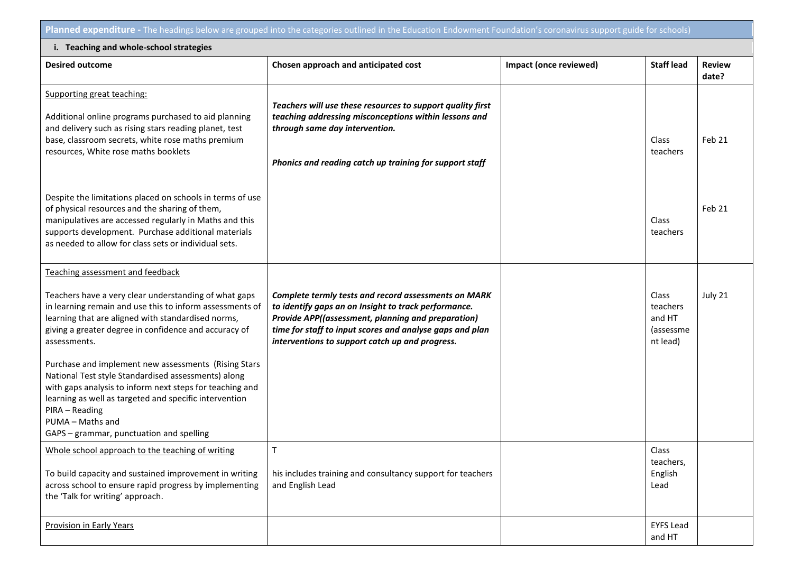**Planned expenditure -** The headings below are grouped into the categories outlined in the Education Endowment Foundation's coronavirus support guide for schools)

| i. Teaching and whole-school strategies                                                                                                                                                                                                                                                                                                                                                                                                                                                                                                                                                                     |                                                                                                                                                                                                                                                                                   |                        |                                                      |                        |  |  |
|-------------------------------------------------------------------------------------------------------------------------------------------------------------------------------------------------------------------------------------------------------------------------------------------------------------------------------------------------------------------------------------------------------------------------------------------------------------------------------------------------------------------------------------------------------------------------------------------------------------|-----------------------------------------------------------------------------------------------------------------------------------------------------------------------------------------------------------------------------------------------------------------------------------|------------------------|------------------------------------------------------|------------------------|--|--|
| <b>Desired outcome</b>                                                                                                                                                                                                                                                                                                                                                                                                                                                                                                                                                                                      | Chosen approach and anticipated cost                                                                                                                                                                                                                                              | Impact (once reviewed) | <b>Staff lead</b>                                    | <b>Review</b><br>date? |  |  |
| Supporting great teaching:<br>Additional online programs purchased to aid planning<br>and delivery such as rising stars reading planet, test<br>base, classroom secrets, white rose maths premium<br>resources, White rose maths booklets                                                                                                                                                                                                                                                                                                                                                                   | Teachers will use these resources to support quality first<br>teaching addressing misconceptions within lessons and<br>through same day intervention.<br>Phonics and reading catch up training for support staff                                                                  |                        | Class<br>teachers                                    | Feb 21                 |  |  |
| Despite the limitations placed on schools in terms of use<br>of physical resources and the sharing of them,<br>manipulatives are accessed regularly in Maths and this<br>supports development. Purchase additional materials<br>as needed to allow for class sets or individual sets.                                                                                                                                                                                                                                                                                                                       |                                                                                                                                                                                                                                                                                   |                        | Class<br>teachers                                    | Feb 21                 |  |  |
| Teaching assessment and feedback<br>Teachers have a very clear understanding of what gaps<br>in learning remain and use this to inform assessments of<br>learning that are aligned with standardised norms,<br>giving a greater degree in confidence and accuracy of<br>assessments.<br>Purchase and implement new assessments (Rising Stars<br>National Test style Standardised assessments) along<br>with gaps analysis to inform next steps for teaching and<br>learning as well as targeted and specific intervention<br>PIRA - Reading<br>PUMA - Maths and<br>GAPS - grammar, punctuation and spelling | Complete termly tests and record assessments on MARK<br>to identify gaps an on Insight to track performance.<br>Provide APP((assessment, planning and preparation)<br>time for staff to input scores and analyse gaps and plan<br>interventions to support catch up and progress. |                        | Class<br>teachers<br>and HT<br>(assessme<br>nt lead) | July 21                |  |  |
| Whole school approach to the teaching of writing<br>To build capacity and sustained improvement in writing<br>across school to ensure rapid progress by implementing<br>the 'Talk for writing' approach.                                                                                                                                                                                                                                                                                                                                                                                                    | $\mathsf T$<br>his includes training and consultancy support for teachers<br>and English Lead                                                                                                                                                                                     |                        | Class<br>teachers,<br>English<br>Lead                |                        |  |  |
| <b>Provision in Early Years</b>                                                                                                                                                                                                                                                                                                                                                                                                                                                                                                                                                                             |                                                                                                                                                                                                                                                                                   |                        | <b>EYFS Lead</b><br>and HT                           |                        |  |  |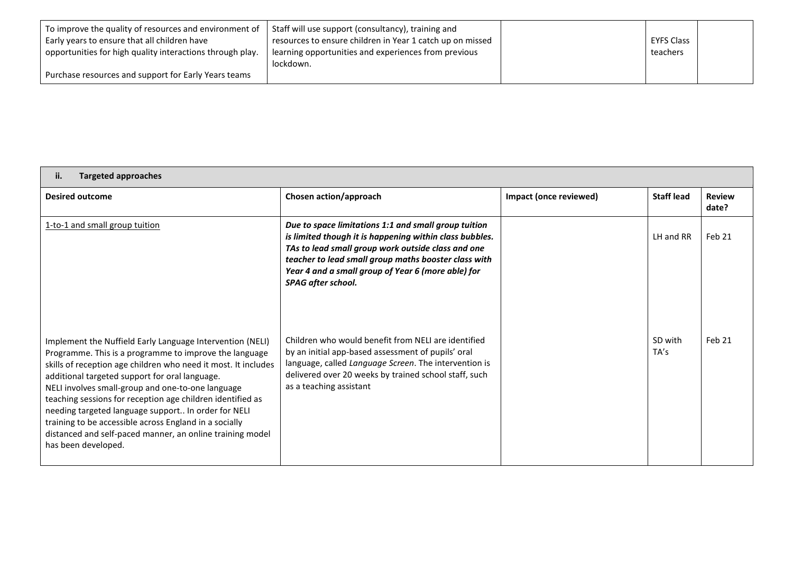| To improve the quality of resources and environment of    | Staff will use support (consultancy), training and        |                   |  |
|-----------------------------------------------------------|-----------------------------------------------------------|-------------------|--|
| Early years to ensure that all children have              | resources to ensure children in Year 1 catch up on missed | <b>EYFS Class</b> |  |
| opportunities for high quality interactions through play. | learning opportunities and experiences from previous      | teachers          |  |
|                                                           | lockdown.                                                 |                   |  |
| Purchase resources and support for Early Years teams      |                                                           |                   |  |

## **ii. Targeted approaches**

| <b>Desired outcome</b>                                                                                                                                                                                                                                                                                                                                                                                                                                                                                                                                          | Chosen action/approach                                                                                                                                                                                                                                                                                    | Impact (once reviewed) | <b>Staff lead</b> | <b>Review</b><br>date? |
|-----------------------------------------------------------------------------------------------------------------------------------------------------------------------------------------------------------------------------------------------------------------------------------------------------------------------------------------------------------------------------------------------------------------------------------------------------------------------------------------------------------------------------------------------------------------|-----------------------------------------------------------------------------------------------------------------------------------------------------------------------------------------------------------------------------------------------------------------------------------------------------------|------------------------|-------------------|------------------------|
| 1-to-1 and small group tuition                                                                                                                                                                                                                                                                                                                                                                                                                                                                                                                                  | Due to space limitations 1:1 and small group tuition<br>is limited though it is happening within class bubbles.<br>TAs to lead small group work outside class and one<br>teacher to lead small group maths booster class with<br>Year 4 and a small group of Year 6 (more able) for<br>SPAG after school. |                        | LH and RR         | Feb 21                 |
| Implement the Nuffield Early Language Intervention (NELI)<br>Programme. This is a programme to improve the language<br>skills of reception age children who need it most. It includes<br>additional targeted support for oral language.<br>NELI involves small-group and one-to-one language<br>teaching sessions for reception age children identified as<br>needing targeted language support In order for NELI<br>training to be accessible across England in a socially<br>distanced and self-paced manner, an online training model<br>has been developed. | Children who would benefit from NELI are identified<br>by an initial app-based assessment of pupils' oral<br>language, called Language Screen. The intervention is<br>delivered over 20 weeks by trained school staff, such<br>as a teaching assistant                                                    |                        | SD with<br>TA's   | Feb 21                 |